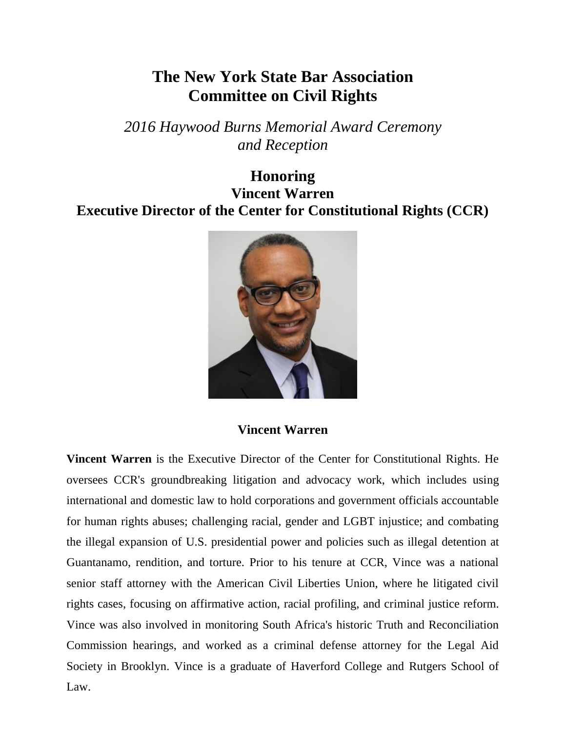## **The New York State Bar Association Committee on Civil Rights**

*2016 Haywood Burns Memorial Award Ceremony and Reception*

## **Honoring Vincent Warren Executive Director of the Center for Constitutional Rights (CCR)**



## **Vincent Warren**

**Vincent Warren** is the Executive Director of the Center for Constitutional Rights. He oversees CCR's groundbreaking litigation and advocacy work, which includes using international and domestic law to hold corporations and government officials accountable for human rights abuses; challenging racial, gender and LGBT injustice; and combating the illegal expansion of U.S. presidential power and policies such as illegal detention at Guantanamo, rendition, and torture. Prior to his tenure at CCR, Vince was a national senior staff attorney with the American Civil Liberties Union, where he litigated civil rights cases, focusing on affirmative action, racial profiling, and criminal justice reform. Vince was also involved in monitoring South Africa's historic Truth and Reconciliation Commission hearings, and worked as a criminal defense attorney for the Legal Aid Society in Brooklyn. Vince is a graduate of Haverford College and Rutgers School of Law.